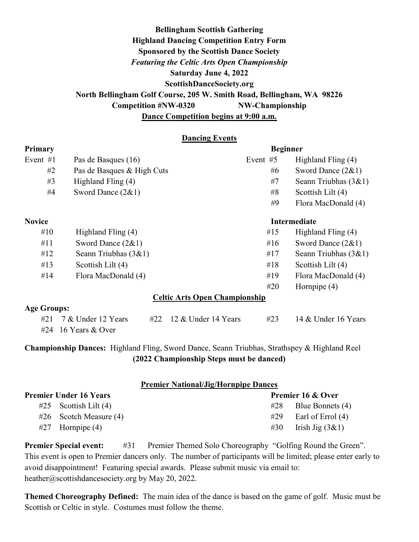# Bellingham Scottish Gathering Highland Dancing Competition Entry Form Sponsored by the Scottish Dance Society Featuring the Celtic Arts Open Championship Saturday June 4, 2022 ScottishDanceSociety.org North Bellingham Golf Course, 205 W. Smith Road, Bellingham, WA 98226 Competition #NW-0320 NW-Championship Dance Competition begins at 9:00 a.m.

#### Dancing Events

| <b>Primary</b>                       |                                                  | <b>Beginner</b> |                        |  |  |
|--------------------------------------|--------------------------------------------------|-----------------|------------------------|--|--|
| Event $#1$                           | Pas de Basques (16)                              | Event #5        | Highland Fling (4)     |  |  |
| #2                                   | Pas de Basques & High Cuts                       | #6              | Sword Dance $(2&1)$    |  |  |
| #3                                   | Highland Fling (4)                               | #7              | Seann Triubhas $(3&1)$ |  |  |
| #4                                   | Sword Dance $(2&1)$                              | #8              | Scottish Lilt (4)      |  |  |
|                                      |                                                  | #9              | Flora MacDonald (4)    |  |  |
| <b>Novice</b>                        |                                                  |                 | <b>Intermediate</b>    |  |  |
| #10                                  | Highland Fling (4)                               | #15             | Highland Fling (4)     |  |  |
| #11                                  | Sword Dance $(2&1)$                              | #16             | Sword Dance $(2&1)$    |  |  |
| #12                                  | Seann Triubhas $(3&1)$                           | #17             | Seann Triubhas $(3&1)$ |  |  |
| #13                                  | Scottish Lilt (4)                                | #18             | Scottish Lilt (4)      |  |  |
| #14                                  | Flora MacDonald (4)                              | #19             | Flora MacDonald (4)    |  |  |
|                                      |                                                  | #20             | Hornpipe $(4)$         |  |  |
| <b>Celtic Arts Open Championship</b> |                                                  |                 |                        |  |  |
| <b>Age Groups:</b>                   |                                                  |                 |                        |  |  |
| #21                                  | 7 & Under 12 Years<br>12 & Under 14 Years<br>#22 | #23             | 14 & Under 16 Years    |  |  |
| #24                                  | 16 Years & Over                                  |                 |                        |  |  |
|                                      |                                                  |                 |                        |  |  |

Championship Dances: Highland Fling, Sword Dance, Seann Triubhas, Strathspey & Highland Reel (2022 Championship Steps must be danced)

#### Premier National/Jig/Hornpipe Dances

| Premier Under 16 Years |                          |     | <b>Premier 16 &amp; Over</b> |  |
|------------------------|--------------------------|-----|------------------------------|--|
|                        | $#25$ Scottish Lilt (4)  | #28 | Blue Bonnets (4)             |  |
|                        | $#26$ Scotch Measure (4) | #29 | Earl of Errol (4)            |  |
|                        | $#27$ Hornpipe $(4)$     | #30 | Irish Jig $(3\&1)$           |  |

**Premier Special event:** #31 Premier Themed Solo Choreography "Golfing Round the Green". This event is open to Premier dancers only. The number of participants will be limited; please enter early to avoid disappointment! Featuring special awards. Please submit music via email to: heather@scottishdancesociety.org by May 20, 2022.

Themed Choreography Defined: The main idea of the dance is based on the game of golf. Music must be Scottish or Celtic in style. Costumes must follow the theme.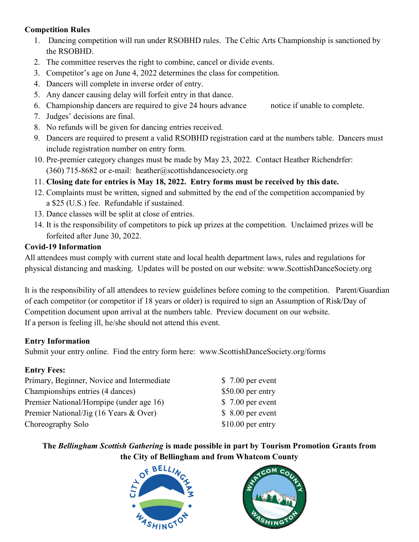## Competition Rules

- 1. Dancing competition will run under RSOBHD rules. The Celtic Arts Championship is sanctioned by the RSOBHD.
- 2. The committee reserves the right to combine, cancel or divide events.
- 3. Competitor's age on June 4, 2022 determines the class for competition.
- 4. Dancers will complete in inverse order of entry.
- 5. Any dancer causing delay will forfeit entry in that dance.
- 6. Championship dancers are required to give 24 hours advance notice if unable to complete.
- 7. Judges' decisions are final.
- 8. No refunds will be given for dancing entries received.
- 9. Dancers are required to present a valid RSOBHD registration card at the numbers table. Dancers must include registration number on entry form.
- 10. Pre-premier category changes must be made by May 23, 2022. Contact Heather Richendrfer: (360) 715-8682 or e-mail: heather@scottishdancesociety.org
- 11. Closing date for entries is May 18, 2022. Entry forms must be received by this date.
- 12. Complaints must be written, signed and submitted by the end of the competition accompanied by a \$25 (U.S.) fee. Refundable if sustained.
- 13. Dance classes will be split at close of entries.
- 14. It is the responsibility of competitors to pick up prizes at the competition. Unclaimed prizes will be forfeited after June 30, 2022.

# Covid-19 Information

All attendees must comply with current state and local health department laws, rules and regulations for physical distancing and masking. Updates will be posted on our website: www.ScottishDanceSociety.org

It is the responsibility of all attendees to review guidelines before coming to the competition. Parent/Guardian of each competitor (or competitor if 18 years or older) is required to sign an Assumption of Risk/Day of Competition document upon arrival at the numbers table. Preview document on our website. If a person is feeling ill, he/she should not attend this event.

## Entry Information

Submit your entry online. Find the entry form here: www.ScottishDanceSociety.org/forms

# Entry Fees:

Primary, Beginner, Novice and Intermediate \$ 7.00 per event Championships entries (4 dances) \$50.00 per entry Premier National/Hornpipe (under age 16) \$ 7.00 per event Premier National/Jig (16 Years & Over) \$ 8.00 per event Choreography Solo \$10.00 per entry

# The Bellingham Scottish Gathering is made possible in part by Tourism Promotion Grants from the City of Bellingham and from Whatcom County